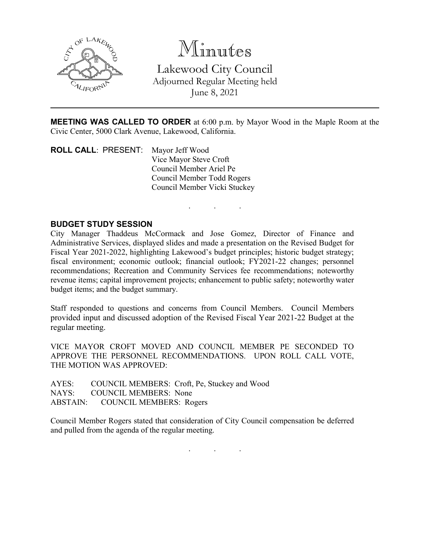

Minutes Lakewood City Council Adjourned Regular Meeting held June 8, 2021

**MEETING WAS CALLED TO ORDER** at 6:00 p.m. by Mayor Wood in the Maple Room at the Civic Center, 5000 Clark Avenue, Lakewood, California.

. . .

**ROLL CALL**: PRESENT: Mayor Jeff Wood Vice Mayor Steve Croft Council Member Ariel Pe Council Member Todd Rogers Council Member Vicki Stuckey

## **BUDGET STUDY SESSION**

City Manager Thaddeus McCormack and Jose Gomez, Director of Finance and Administrative Services, displayed slides and made a presentation on the Revised Budget for Fiscal Year 2021-2022, highlighting Lakewood's budget principles; historic budget strategy; fiscal environment; economic outlook; financial outlook; FY2021-22 changes; personnel recommendations; Recreation and Community Services fee recommendations; noteworthy revenue items; capital improvement projects; enhancement to public safety; noteworthy water budget items; and the budget summary.

Staff responded to questions and concerns from Council Members. Council Members provided input and discussed adoption of the Revised Fiscal Year 2021-22 Budget at the regular meeting.

VICE MAYOR CROFT MOVED AND COUNCIL MEMBER PE SECONDED TO APPROVE THE PERSONNEL RECOMMENDATIONS. UPON ROLL CALL VOTE, THE MOTION WAS APPROVED:

AYES: COUNCIL MEMBERS: Croft, Pe, Stuckey and Wood NAYS: COUNCIL MEMBERS: None ABSTAIN: COUNCIL MEMBERS: Rogers

Council Member Rogers stated that consideration of City Council compensation be deferred and pulled from the agenda of the regular meeting.

. . .